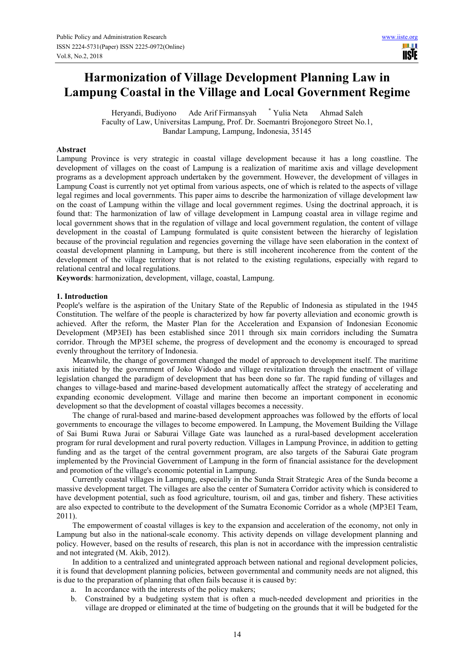# **Harmonization of Village Development Planning Law in Lampung Coastal in the Village and Local Government Regime**

Heryandi, Budiyono Ade Arif Firmansyah \* Yulia Neta Ahmad Saleh Faculty of Law, Universitas Lampung, Prof. Dr. Soemantri Brojonegoro Street No.1, Bandar Lampung, Lampung, Indonesia, 35145

#### **Abstract**

Lampung Province is very strategic in coastal village development because it has a long coastline. The development of villages on the coast of Lampung is a realization of maritime axis and village development programs as a development approach undertaken by the government. However, the development of villages in Lampung Coast is currently not yet optimal from various aspects, one of which is related to the aspects of village legal regimes and local governments. This paper aims to describe the harmonization of village development law on the coast of Lampung within the village and local government regimes. Using the doctrinal approach, it is found that: The harmonization of law of village development in Lampung coastal area in village regime and local government shows that in the regulation of village and local government regulation, the content of village development in the coastal of Lampung formulated is quite consistent between the hierarchy of legislation because of the provincial regulation and regencies governing the village have seen elaboration in the context of coastal development planning in Lampung, but there is still incoherent incoherence from the content of the development of the village territory that is not related to the existing regulations, especially with regard to relational central and local regulations.

**Keywords**: harmonization, development, village, coastal, Lampung.

#### **1. Introduction**

People's welfare is the aspiration of the Unitary State of the Republic of Indonesia as stipulated in the 1945 Constitution. The welfare of the people is characterized by how far poverty alleviation and economic growth is achieved. After the reform, the Master Plan for the Acceleration and Expansion of Indonesian Economic Development (MP3EI) has been established since 2011 through six main corridors including the Sumatra corridor. Through the MP3EI scheme, the progress of development and the economy is encouraged to spread evenly throughout the territory of Indonesia.

Meanwhile, the change of government changed the model of approach to development itself. The maritime axis initiated by the government of Joko Widodo and village revitalization through the enactment of village legislation changed the paradigm of development that has been done so far. The rapid funding of villages and changes to village-based and marine-based development automatically affect the strategy of accelerating and expanding economic development. Village and marine then become an important component in economic development so that the development of coastal villages becomes a necessity.

The change of rural-based and marine-based development approaches was followed by the efforts of local governments to encourage the villages to become empowered. In Lampung, the Movement Building the Village of Sai Bumi Ruwa Jurai or Saburai Village Gate was launched as a rural-based development acceleration program for rural development and rural poverty reduction. Villages in Lampung Province, in addition to getting funding and as the target of the central government program, are also targets of the Saburai Gate program implemented by the Provincial Government of Lampung in the form of financial assistance for the development and promotion of the village's economic potential in Lampung.

Currently coastal villages in Lampung, especially in the Sunda Strait Strategic Area of the Sunda become a massive development target. The villages are also the center of Sumatera Corridor activity which is considered to have development potential, such as food agriculture, tourism, oil and gas, timber and fishery. These activities are also expected to contribute to the development of the Sumatra Economic Corridor as a whole (MP3EI Team, 2011).

The empowerment of coastal villages is key to the expansion and acceleration of the economy, not only in Lampung but also in the national-scale economy. This activity depends on village development planning and policy. However, based on the results of research, this plan is not in accordance with the impression centralistic and not integrated (M. Akib, 2012).

In addition to a centralized and unintegrated approach between national and regional development policies, it is found that development planning policies, between governmental and community needs are not aligned, this is due to the preparation of planning that often fails because it is caused by:

- a. In accordance with the interests of the policy makers;
- b. Constrained by a budgeting system that is often a much-needed development and priorities in the village are dropped or eliminated at the time of budgeting on the grounds that it will be budgeted for the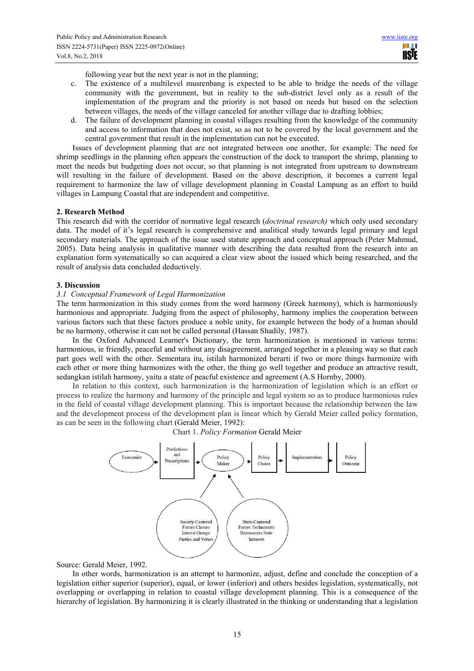following year but the next year is not in the planning;

- c. The existence of a multilevel musrenbang is expected to be able to bridge the needs of the village community with the government, but in reality to the sub-district level only as a result of the implementation of the program and the priority is not based on needs but based on the selection between villages, the needs of the village canceled for another village due to drafting lobbies;
- d. The failure of development planning in coastal villages resulting from the knowledge of the community and access to information that does not exist, so as not to be covered by the local government and the central government that result in the implementation can not be executed.

Issues of development planning that are not integrated between one another, for example: The need for shrimp seedlings in the planning often appears the construction of the dock to transport the shrimp, planning to meet the needs but budgeting does not occur, so that planning is not integrated from upstream to downstream will resulting in the failure of development. Based on the above description, it becomes a current legal requirement to harmonize the law of village development planning in Coastal Lampung as an effort to build villages in Lampung Coastal that are independent and competitive.

### **2. Research Method**

This research did with the corridor of normative legal research (*doctrinal research)* which only used secondary data. The model of it's legal research is comprehensive and analitical study towards legal primary and legal secondary materials. The approach of the issue used statute approach and conceptual approach (Peter Mahmud, 2005). Data being analysis in qualitative manner with describing the data resulted from the research into an explanation form systematically so can acquired a clear view about the issued which being researched, and the result of analysis data concluded deductively.

### **3. Discussion**

# *3.1 Conceptual Framework of Legal Harmonization*

The term harmonization in this study comes from the word harmony (Greek harmony), which is harmoniously harmonious and appropriate. Judging from the aspect of philosophy, harmony implies the cooperation between various factors such that these factors produce a noble unity, for example between the body of a human should be no harmony, otherwise it can not be called personal (Hassan Shadily, 1987).

In the Oxford Advanced Learner's Dictionary, the term harmonization is mentioned in various terms: harmonious, ie friendly, peaceful and without any disagreement, arranged together in a pleasing way so that each part goes well with the other. Sementara itu, istilah harmonized berarti if two or more things harmonize with each other or more thing harmonizes with the other, the thing go well together and produce an attractive result, sedangkan istilah harmony, yaitu a state of peacful existence and agreement (A.S Hornby, 2000).

In relation to this context, such harmonization is the harmonization of legislation which is an effort or process to realize the harmony and harmony of the principle and legal system so as to produce harmonious rules in the field of coastal village development planning. This is important because the relationship between the law and the development process of the development plan is linear which by Gerald Meier called policy formation, as can be seen in the following chart (Gerald Meier, 1992):

Chart 1. *Policy Formation* Gerald Meier



Source: Gerald Meier, 1992.

In other words, harmonization is an attempt to harmonize, adjust, define and conclude the conception of a legislation either superior (superior), equal, or lower (inferior) and others besides legislation, systematically, not overlapping or overlapping in relation to coastal village development planning. This is a consequence of the hierarchy of legislation. By harmonizing it is clearly illustrated in the thinking or understanding that a legislation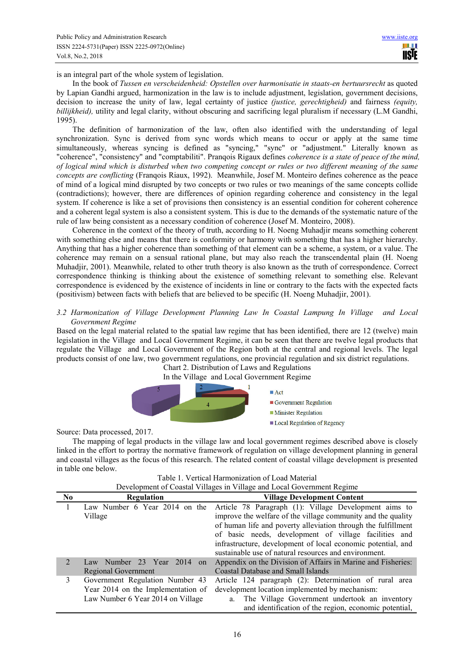is an integral part of the whole system of legislation.

In the book of *Tussen en verscheidenheid: Opstellen over harmonisatie in staats-en bertuursrecht* as quoted by Lapian Gandhi argued, harmonization in the law is to include adjustment, legislation, government decisions, decision to increase the unity of law, legal certainty of justice *(justice, gerechtigheid)* and fairness *(equity, billijkheid),* utility and legal clarity, without obscuring and sacrificing legal pluralism if necessary (L.M Gandhi, 1995).

The definition of harmonization of the law, often also identified with the understanding of legal synchronization. Sync is derived from sync words which means to occur or apply at the same time simultaneously, whereas syncing is defined as "syncing," "sync" or "adjustment." Literally known as "coherence", "consistency" and "comptabiliti". Pranqois Rigaux defines *coherence is a state of peace of the mind, of logical mind which is disturbed when two competing concept or rules or two different meaning of the same concepts are conflicting* (Franqois Riaux, 1992). Meanwhile, Josef M. Monteiro defines coherence as the peace of mind of a logical mind disrupted by two concepts or two rules or two meanings of the same concepts collide (contradictions); however, there are differences of opinion regarding coherence and consistency in the legal system. If coherence is like a set of provisions then consistency is an essential condition for coherent coherence and a coherent legal system is also a consistent system. This is due to the demands of the systematic nature of the rule of law being consistent as a necessary condition of coherence (Josef M. Monteiro, 2008).

Coherence in the context of the theory of truth, according to H. Noeng Muhadjir means something coherent with something else and means that there is conformity or harmony with something that has a higher hierarchy. Anything that has a higher coherence than something of that element can be a scheme, a system, or a value. The coherence may remain on a sensual rational plane, but may also reach the transcendental plain (H. Noeng Muhadjir, 2001). Meanwhile, related to other truth theory is also known as the truth of correspondence. Correct correspondence thinking is thinking about the existence of something relevant to something else. Relevant correspondence is evidenced by the existence of incidents in line or contrary to the facts with the expected facts (positivism) between facts with beliefs that are believed to be specific (H. Noeng Muhadjir, 2001).

#### *3.2 Harmonization of Village Development Planning Law In Coastal Lampung In Village and Local Government Regime*

Based on the legal material related to the spatial law regime that has been identified, there are 12 (twelve) main legislation in the Village and Local Government Regime, it can be seen that there are twelve legal products that regulate the Village and Local Government of the Region both at the central and regional levels. The legal products consist of one law, two government regulations, one provincial regulation and six district regulations.

Chart 2. Distribution of Laws and Regulations In the Village and Local Government Regime



Source: Data processed, 2017.

The mapping of legal products in the village law and local government regimes described above is closely linked in the effort to portray the normative framework of regulation on village development planning in general and coastal villages as the focus of this research. The related content of coastal village development is presented in table one below.

| Table 1. Vertical Harmonization of Load Material                       |  |
|------------------------------------------------------------------------|--|
| Development of Coastal Villages in Village and Local Government Degime |  |

|                             | Development of Coastal Vinages in Vinage and Local Government Regime                                       |                                                                                                                                                                                                                                                                                                                                                                          |  |
|-----------------------------|------------------------------------------------------------------------------------------------------------|--------------------------------------------------------------------------------------------------------------------------------------------------------------------------------------------------------------------------------------------------------------------------------------------------------------------------------------------------------------------------|--|
| $\bf No$                    | Regulation                                                                                                 | <b>Village Development Content</b>                                                                                                                                                                                                                                                                                                                                       |  |
|                             | Law Number 6 Year 2014 on the<br>Village                                                                   | Article 78 Paragraph (1): Village Development aims to<br>improve the welfare of the village community and the quality<br>of human life and poverty alleviation through the fulfillment<br>of basic needs, development of village facilities and<br>infrastructure, development of local economic potential, and<br>sustainable use of natural resources and environment. |  |
| $\mathcal{D}_{\mathcal{L}}$ | Law Number 23 Year 2014<br><sub>on</sub><br>Regional Government                                            | Appendix on the Division of Affairs in Marine and Fisheries:<br>Coastal Database and Small Islands                                                                                                                                                                                                                                                                       |  |
| 3                           | Government Regulation Number 43<br>Year 2014 on the Implementation of<br>Law Number 6 Year 2014 on Village | Article 124 paragraph (2): Determination of rural area<br>development location implemented by mechanism:<br>The Village Government undertook an inventory<br>and identification of the region, economic potential,                                                                                                                                                       |  |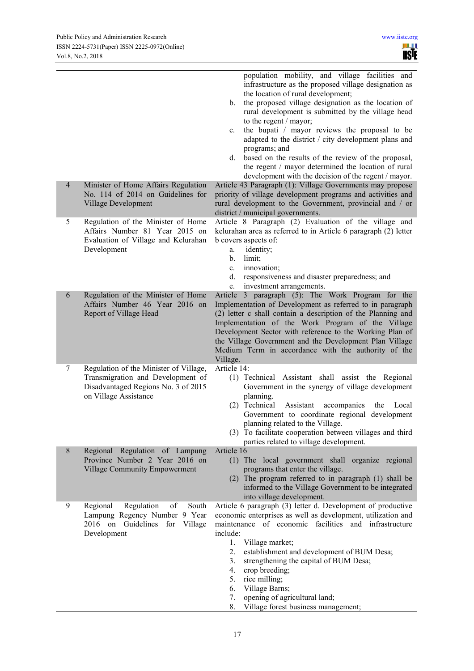|                |                                                                                                                                             | population mobility, and village facilities and<br>infrastructure as the proposed village designation as<br>the location of rural development;<br>the proposed village designation as the location of<br>b.<br>rural development is submitted by the village head<br>to the regent / mayor;<br>the bupati / mayor reviews the proposal to be<br>c.<br>adapted to the district / city development plans and<br>programs; and<br>based on the results of the review of the proposal,<br>d.<br>the regent / mayor determined the location of rural<br>development with the decision of the regent / mayor. |
|----------------|---------------------------------------------------------------------------------------------------------------------------------------------|---------------------------------------------------------------------------------------------------------------------------------------------------------------------------------------------------------------------------------------------------------------------------------------------------------------------------------------------------------------------------------------------------------------------------------------------------------------------------------------------------------------------------------------------------------------------------------------------------------|
| $\overline{4}$ | Minister of Home Affairs Regulation<br>No. 114 of 2014 on Guidelines for<br>Village Development                                             | Article 43 Paragraph (1): Village Governments may propose<br>priority of village development programs and activities and<br>rural development to the Government, provincial and / or<br>district / municipal governments.                                                                                                                                                                                                                                                                                                                                                                               |
| 5              | Regulation of the Minister of Home<br>Affairs Number 81 Year 2015 on<br>Evaluation of Village and Kelurahan<br>Development                  | Article 8 Paragraph (2) Evaluation of the village and<br>kelurahan area as referred to in Article 6 paragraph (2) letter<br>b covers aspects of:<br>identity;<br>a.<br>limit;<br>b.<br>innovation;<br>c.<br>d.<br>responsiveness and disaster preparedness; and<br>investment arrangements.<br>e.                                                                                                                                                                                                                                                                                                       |
| 6              | Regulation of the Minister of Home<br>Affairs Number 46 Year 2016 on<br>Report of Village Head                                              | Article 3 paragraph (5): The Work Program for the<br>Implementation of Development as referred to in paragraph<br>(2) letter c shall contain a description of the Planning and<br>Implementation of the Work Program of the Village<br>Development Sector with reference to the Working Plan of<br>the Village Government and the Development Plan Village<br>Medium Term in accordance with the authority of the<br>Village.                                                                                                                                                                           |
| 7              | Regulation of the Minister of Village,<br>Transmigration and Development of<br>Disadvantaged Regions No. 3 of 2015<br>on Village Assistance | Article 14:<br>(1) Technical Assistant shall assist the Regional<br>Government in the synergy of village development<br>planning.<br>(2) Technical<br>Assistant accompanies<br>the Local<br>Government to coordinate regional development<br>planning related to the Village.<br>(3) To facilitate cooperation between villages and third<br>parties related to village development.                                                                                                                                                                                                                    |
| $\,8\,$        | Regional Regulation of Lampung<br>Province Number 2 Year 2016 on<br><b>Village Community Empowerment</b>                                    | Article 16<br>(1) The local government shall organize regional<br>programs that enter the village.<br>(2) The program referred to in paragraph (1) shall be<br>informed to the Village Government to be integrated<br>into village development.                                                                                                                                                                                                                                                                                                                                                         |
| 9              | of<br>Regional<br>Regulation<br>South<br>Lampung Regency Number 9 Year<br>2016 on Guidelines for<br>Village<br>Development                  | Article 6 paragraph (3) letter d. Development of productive<br>economic enterprises as well as development, utilization and<br>maintenance of economic facilities and infrastructure<br>include:<br>Village market;<br>1.<br>establishment and development of BUM Desa;<br>2.<br>strengthening the capital of BUM Desa;<br>3.<br>4.<br>crop breeding;<br>rice milling;<br>5.<br>6.<br>Village Barns;<br>7.<br>opening of agricultural land;<br>8.<br>Village forest business management;                                                                                                                |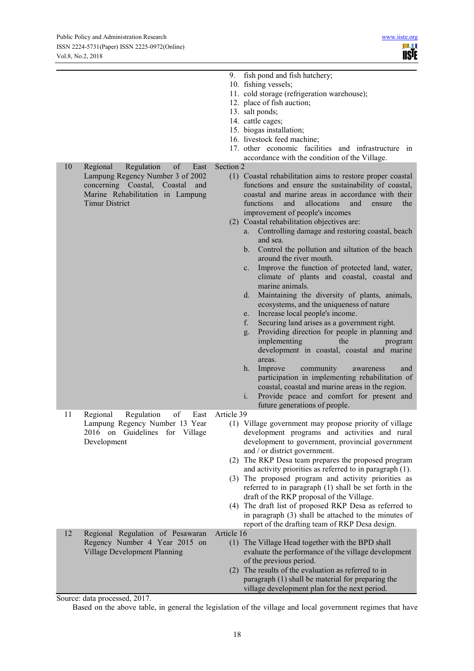| 10. fishing vessels;                                                                                                                                                                                                                                                                |         |
|-------------------------------------------------------------------------------------------------------------------------------------------------------------------------------------------------------------------------------------------------------------------------------------|---------|
|                                                                                                                                                                                                                                                                                     |         |
| 11. cold storage (refrigeration warehouse);                                                                                                                                                                                                                                         |         |
| 12. place of fish auction;                                                                                                                                                                                                                                                          |         |
| 13. salt ponds;                                                                                                                                                                                                                                                                     |         |
| 14. cattle cages;                                                                                                                                                                                                                                                                   |         |
| 15. biogas installation;                                                                                                                                                                                                                                                            |         |
| 16. livestock feed machine;                                                                                                                                                                                                                                                         |         |
| 17. other economic facilities and infrastructure in                                                                                                                                                                                                                                 |         |
| accordance with the condition of the Village.<br>Section 2<br>10<br>Regional<br>Regulation<br>of<br>East                                                                                                                                                                            |         |
| Lampung Regency Number 3 of 2002<br>(1) Coastal rehabilitation aims to restore proper coastal<br>concerning Coastal, Coastal<br>functions and ensure the sustainability of coastal,<br>and<br>Marine Rehabilitation in Lampung<br>coastal and marine areas in accordance with their |         |
| <b>Timur District</b><br>functions<br>and<br>allocations<br>and<br>ensure                                                                                                                                                                                                           | the     |
| improvement of people's incomes<br>(2) Coastal rehabilitation objectives are:                                                                                                                                                                                                       |         |
| Controlling damage and restoring coastal, beach<br>a.                                                                                                                                                                                                                               |         |
| and sea.                                                                                                                                                                                                                                                                            |         |
| Control the pollution and siltation of the beach<br>b.<br>around the river mouth.                                                                                                                                                                                                   |         |
| Improve the function of protected land, water,<br>$c_{-}$                                                                                                                                                                                                                           |         |
| climate of plants and coastal, coastal and<br>marine animals.                                                                                                                                                                                                                       |         |
| Maintaining the diversity of plants, animals,<br>$d_{\cdot}$                                                                                                                                                                                                                        |         |
| ecosystems, and the uniqueness of nature                                                                                                                                                                                                                                            |         |
| Increase local people's income.<br>e.                                                                                                                                                                                                                                               |         |
| Securing land arises as a government right.<br>f.                                                                                                                                                                                                                                   |         |
| Providing direction for people in planning and<br>g.                                                                                                                                                                                                                                |         |
| implementing<br>the<br>development in coastal, coastal and marine                                                                                                                                                                                                                   | program |
| areas.                                                                                                                                                                                                                                                                              |         |
| Improve<br>h.<br>community<br>awareness<br>participation in implementing rehabilitation of                                                                                                                                                                                          | and     |
| coastal, coastal and marine areas in the region.                                                                                                                                                                                                                                    |         |
| Provide peace and comfort for present and<br>$\mathbf{i}$ .                                                                                                                                                                                                                         |         |
| future generations of people.<br>of<br>Article 39                                                                                                                                                                                                                                   |         |
| 11<br>Regional<br>Regulation<br>East<br>(1) Village government may propose priority of village<br>Lampung Regency Number 13 Year                                                                                                                                                    |         |
| 2016 on Guidelines for Village<br>development programs and activities and rural                                                                                                                                                                                                     |         |
| development to government, provincial government<br>Development                                                                                                                                                                                                                     |         |
| and / or district government.                                                                                                                                                                                                                                                       |         |
| (2) The RKP Desa team prepares the proposed program                                                                                                                                                                                                                                 |         |
| and activity priorities as referred to in paragraph (1).                                                                                                                                                                                                                            |         |
| (3) The proposed program and activity priorities as                                                                                                                                                                                                                                 |         |
| referred to in paragraph (1) shall be set forth in the                                                                                                                                                                                                                              |         |
| draft of the RKP proposal of the Village.                                                                                                                                                                                                                                           |         |
| (4) The draft list of proposed RKP Desa as referred to                                                                                                                                                                                                                              |         |
| in paragraph (3) shall be attached to the minutes of                                                                                                                                                                                                                                |         |
| report of the drafting team of RKP Desa design.                                                                                                                                                                                                                                     |         |
| 12<br>Article 16<br>Regional Regulation of Pesawaran                                                                                                                                                                                                                                |         |
| Regency Number 4 Year 2015 on<br>(1) The Village Head together with the BPD shall                                                                                                                                                                                                   |         |
| Village Development Planning<br>evaluate the performance of the village development                                                                                                                                                                                                 |         |
| of the previous period.                                                                                                                                                                                                                                                             |         |
| (2) The results of the evaluation as referred to in                                                                                                                                                                                                                                 |         |
| paragraph (1) shall be material for preparing the<br>village development plan for the next period.                                                                                                                                                                                  |         |

Source: data processed, 2017.

Based on the above table, in general the legislation of the village and local government regimes that have